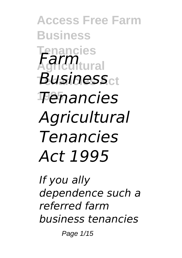**Access Free Farm Business Tenancies Agricultural** *Farm Business*ct **1995** *Tenancies Agricultural Tenancies Act 1995*

*If you ally dependence such a referred farm business tenancies*

Page 1/15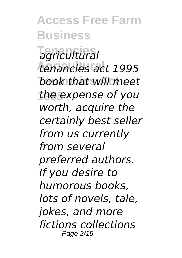**Access Free Farm Business Tenancies** *agricultural* **Agricultural** *tenancies act 1995* **Tenancies Act** *book that will meet* **1995** *the expense of you worth, acquire the certainly best seller from us currently from several preferred authors. If you desire to humorous books, lots of novels, tale, jokes, and more fictions collections* Page 2/15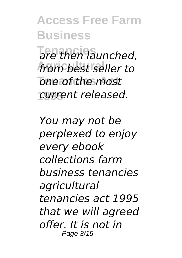**Access Free Farm Business Tenancies** *are then launched,* **Agricultural** *from best seller to*  $one$  of the most **1995** *current released.*

*You may not be perplexed to enjoy every ebook collections farm business tenancies agricultural tenancies act 1995 that we will agreed offer. It is not in* Page 3/15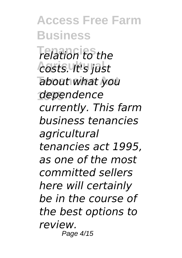**Access Free Farm Business Tenancies** *relation to the* **Agricultural** *costs. It's just* **Tenancies Act** *about what you* **1995** *dependence currently. This farm business tenancies agricultural tenancies act 1995, as one of the most committed sellers here will certainly be in the course of the best options to review.* Page 4/15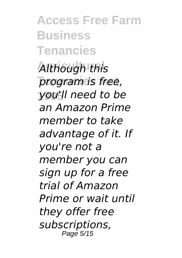**Access Free Farm Business Tenancies**

**Although this Tenancies Act** *program is free,* **1995** *you'll need to be an Amazon Prime member to take advantage of it. If you're not a member you can sign up for a free trial of Amazon Prime or wait until they offer free subscriptions,* Page 5/15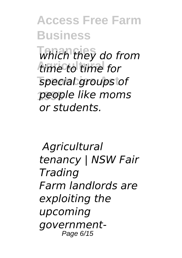**Access Free Farm Business Tenancies** *which they do from* **Agricultural** *time to time for* **Tenancies Act** *special groups of* **1995** *people like moms or students.*

*Agricultural tenancy | NSW Fair Trading Farm landlords are exploiting the upcoming government-*Page 6/15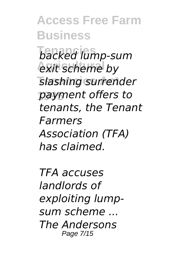**Access Free Farm Business Tenancies** *backed lump-sum* **Agricultural** *exit scheme by* **Tenancies Act** *slashing surrender* **1995** *payment offers to tenants, the Tenant Farmers Association (TFA) has claimed.*

*TFA accuses landlords of exploiting lumpsum scheme ... The Andersons* Page 7/15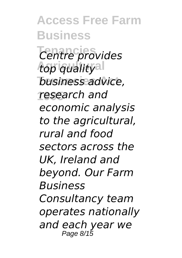**Access Free Farm Business Tenancies** *Centre provides* top qualityal **Tenancies Act** *business advice,* **1995** *research and economic analysis to the agricultural, rural and food sectors across the UK, Ireland and beyond. Our Farm Business Consultancy team operates nationally and each year we* Page 8/15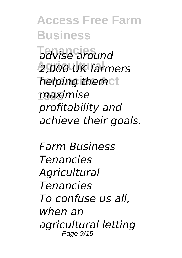**Access Free Farm Business Tenancies** *advise around* **Agricultural** *2,000 UK farmers helping themct* **1995** *maximise profitability and achieve their goals.*

*Farm Business Tenancies Agricultural Tenancies To confuse us all, when an agricultural letting* Page  $9/15$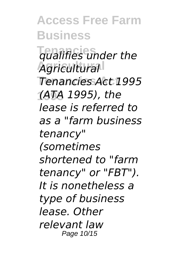**Access Free Farm Business Tenancies** *qualifies under the* **Agricultural** *Agricultural* **Tenancies Act** *Tenancies Act 1995* **1995** *(ATA 1995), the lease is referred to as a "farm business tenancy" (sometimes shortened to "farm tenancy" or "FBT"). It is nonetheless a type of business lease. Other relevant law* Page 10/15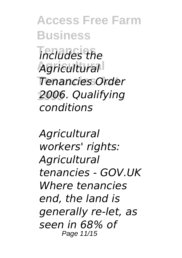**Access Free Farm Business Tenancies** *includes the* **Agricultural** *Agricultural* **Tenancies Act** *Tenancies Order* **1995** *2006. Qualifying conditions*

*Agricultural workers' rights: Agricultural tenancies - GOV.UK Where tenancies end, the land is generally re-let, as seen in 68% of* Page 11/15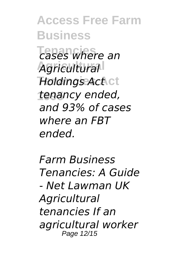**Access Free Farm Business Tenancies** *cases where an* **Agricultural** *Agricultural* **Holdings Act ct 1995** *tenancy ended, and 93% of cases where an FBT ended.*

*Farm Business Tenancies: A Guide - Net Lawman UK Agricultural tenancies If an agricultural worker* Page 12/15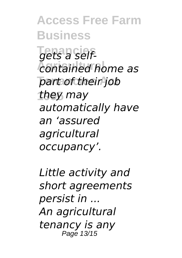**Access Free Farm Business Tenancies** *gets a self-***Agricultural** *contained home as*  $part of their job$ **1995** *they may automatically have an 'assured agricultural occupancy'.*

*Little activity and short agreements persist in ... An agricultural tenancy is any* Page 13/15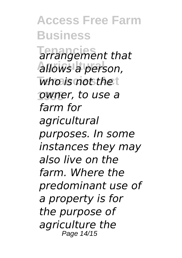**Access Free Farm Business Tenancies** *arrangement that* **Agricultural** *allows a person,*  $$ **1995** *owner, to use a farm for agricultural purposes. In some instances they may also live on the farm. Where the predominant use of a property is for the purpose of agriculture the* Page 14/15